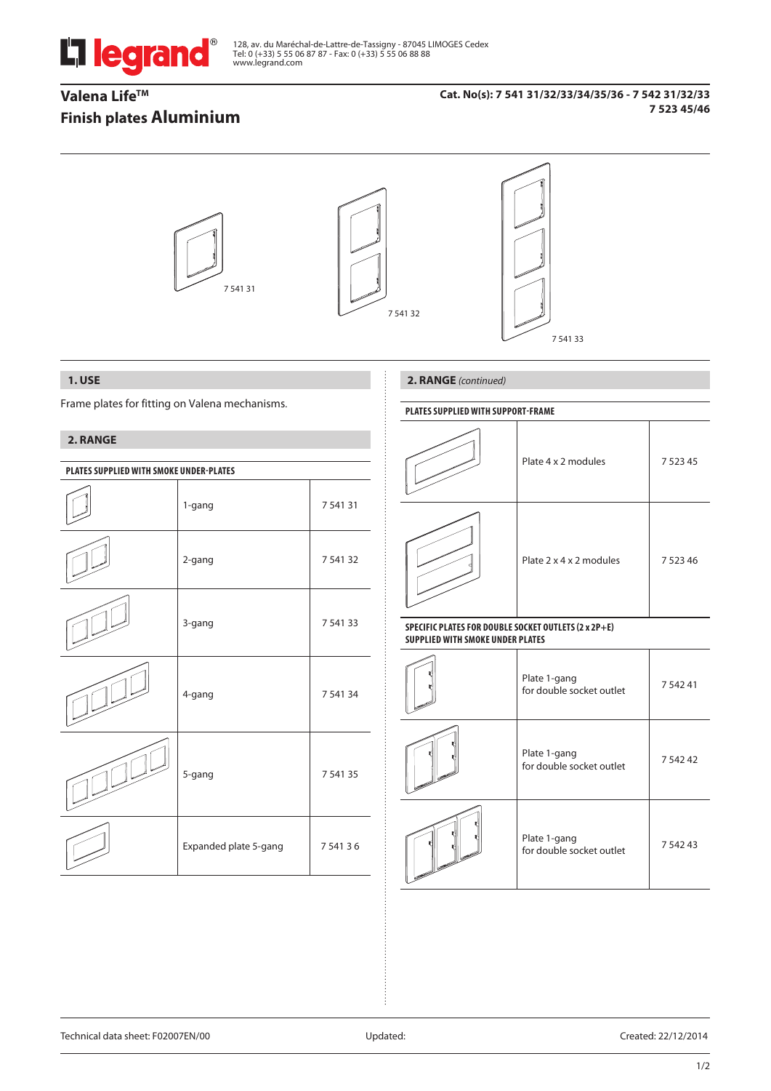

128, av. du Maréchal-de-Lattre-de-Tassigny - 87045 LIMOGES Cedex Tel: 0 (+33) 5 55 06 87 87 - Fax: 0 (+33) 5 55 06 88 88 www.legrand.com

# **Valena Life™ Finish plates Aluminium**

### **Cat. No(s): 7 541 31/32/33/34/35/36 - 7 542 31/32/33 7 523 45/46**



# **1. USE**

Frame plates for fitting on Valena mechanisms.

## **2. RANGE**

| PLATES SUPPLIED WITH SMOKE UNDER-PLATES |                       |          |  |  |  |
|-----------------------------------------|-----------------------|----------|--|--|--|
|                                         | 1-gang                | 7 541 31 |  |  |  |
|                                         | 2-gang                | 7 541 32 |  |  |  |
|                                         | 3-gang                | 7 541 33 |  |  |  |
|                                         | 4-gang                | 7 541 34 |  |  |  |
|                                         | 5-gang                | 7 541 35 |  |  |  |
|                                         | Expanded plate 5-gang | 754136   |  |  |  |

# **2. RANGE** *(continued)*

### **PlaTES SUPPLIED WITH SUPPORT-FRAME**

| Plate 4 x 2 modules     | 7 5 2 3 4 5 |
|-------------------------|-------------|
| Plate 2 x 4 x 2 modules | 7 5 2 3 4 6 |

#### **SPECIFIC PLATES FOR DOUBLE SOCKET OUTLETS (2 x 2P+E) SUPPLIED WITH SMOKE UNDER PLATES**

| Plate 1-gang<br>for double socket outlet | 7 542 41    |
|------------------------------------------|-------------|
| Plate 1-gang<br>for double socket outlet | 7 5 4 2 4 2 |
| Plate 1-gang<br>for double socket outlet | 7 542 43    |